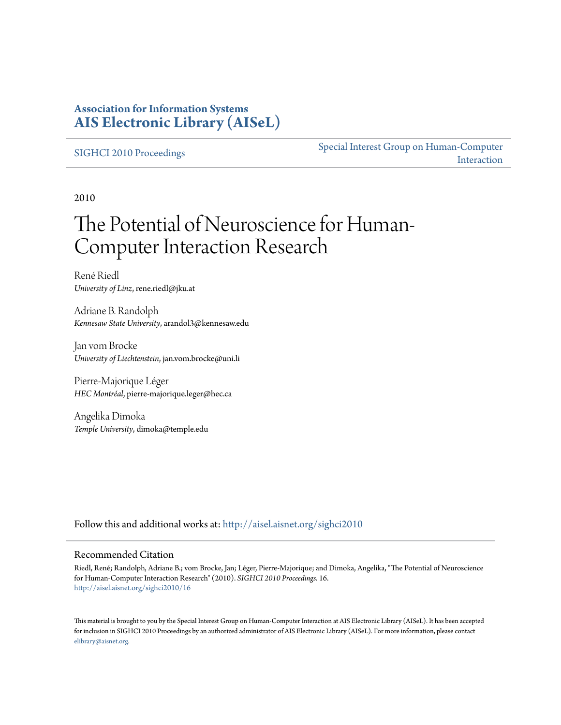### **Association for Information Systems [AIS Electronic Library \(AISeL\)](http://aisel.aisnet.org?utm_source=aisel.aisnet.org%2Fsighci2010%2F16&utm_medium=PDF&utm_campaign=PDFCoverPages)**

#### [SIGHCI 2010 Proceedings](http://aisel.aisnet.org/sighci2010?utm_source=aisel.aisnet.org%2Fsighci2010%2F16&utm_medium=PDF&utm_campaign=PDFCoverPages)

[Special Interest Group on Human-Computer](http://aisel.aisnet.org/sighci?utm_source=aisel.aisnet.org%2Fsighci2010%2F16&utm_medium=PDF&utm_campaign=PDFCoverPages) [Interaction](http://aisel.aisnet.org/sighci?utm_source=aisel.aisnet.org%2Fsighci2010%2F16&utm_medium=PDF&utm_campaign=PDFCoverPages)

2010

# The Potential of Neuroscience for Human-Computer Interaction Research

René Riedl *University of Linz*, rene.riedl@jku.at

Adriane B. Randolph *Kennesaw State University*, arandol3@kennesaw.edu

Jan vom Brocke *University of Liechtenstein*, jan.vom.brocke@uni.li

Pierre-Majorique Léger *HEC Montréal*, pierre-majorique.leger@hec.ca

Angelika Dimoka *Temple University*, dimoka@temple.edu

Follow this and additional works at: [http://aisel.aisnet.org/sighci2010](http://aisel.aisnet.org/sighci2010?utm_source=aisel.aisnet.org%2Fsighci2010%2F16&utm_medium=PDF&utm_campaign=PDFCoverPages)

#### Recommended Citation

Riedl, René; Randolph, Adriane B.; vom Brocke, Jan; Léger, Pierre-Majorique; and Dimoka, Angelika, "The Potential of Neuroscience for Human-Computer Interaction Research" (2010). *SIGHCI 2010 Proceedings*. 16. [http://aisel.aisnet.org/sighci2010/16](http://aisel.aisnet.org/sighci2010/16?utm_source=aisel.aisnet.org%2Fsighci2010%2F16&utm_medium=PDF&utm_campaign=PDFCoverPages)

This material is brought to you by the Special Interest Group on Human-Computer Interaction at AIS Electronic Library (AISeL). It has been accepted for inclusion in SIGHCI 2010 Proceedings by an authorized administrator of AIS Electronic Library (AISeL). For more information, please contact [elibrary@aisnet.org.](mailto:elibrary@aisnet.org%3E)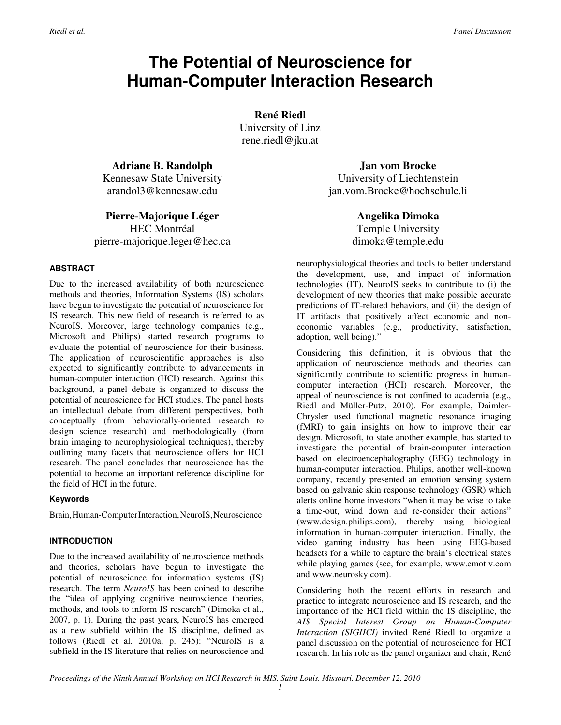## **The Potential of Neuroscience for Human-Computer Interaction Research**

**René Riedl** 

University of Linz rene.riedl@jku.at

**Adriane B. Randolph** Kennesaw State University arandol3@kennesaw.edu

**Pierre-Majorique Léger**

HEC Montréal pierre-majorique.leger@hec.ca

#### **ABSTRACT**

Due to the increased availability of both neuroscience methods and theories, Information Systems (IS) scholars have begun to investigate the potential of neuroscience for IS research. This new field of research is referred to as NeuroIS. Moreover, large technology companies (e.g., Microsoft and Philips) started research programs to evaluate the potential of neuroscience for their business. The application of neuroscientific approaches is also expected to significantly contribute to advancements in human-computer interaction (HCI) research. Against this background, a panel debate is organized to discuss the potential of neuroscience for HCI studies. The panel hosts an intellectual debate from different perspectives, both conceptually (from behaviorally-oriented research to design science research) and methodologically (from brain imaging to neurophysiological techniques), thereby outlining many facets that neuroscience offers for HCI research. The panel concludes that neuroscience has the potential to become an important reference discipline for the field of HCI in the future.

#### **Keywords**

Brain, Human-ComputerInteraction, NeuroIS, Neuroscience

#### **INTRODUCTION**

Due to the increased availability of neuroscience methods and theories, scholars have begun to investigate the potential of neuroscience for information systems (IS) research. The term *NeuroIS* has been coined to describe the "idea of applying cognitive neuroscience theories, methods, and tools to inform IS research" (Dimoka et al., 2007, p. 1). During the past years, NeuroIS has emerged as a new subfield within the IS discipline, defined as follows (Riedl et al. 2010a, p. 245): "NeuroIS is a subfield in the IS literature that relies on neuroscience and

**Jan vom Brocke**  University of Liechtenstein jan.vom.Brocke@hochschule.li

> **Angelika Dimoka**  Temple University dimoka@temple.edu

neurophysiological theories and tools to better understand the development, use, and impact of information technologies (IT). NeuroIS seeks to contribute to (i) the development of new theories that make possible accurate predictions of IT-related behaviors, and (ii) the design of IT artifacts that positively affect economic and noneconomic variables (e.g., productivity, satisfaction, adoption, well being)."

Considering this definition, it is obvious that the application of neuroscience methods and theories can significantly contribute to scientific progress in humancomputer interaction (HCI) research. Moreover, the appeal of neuroscience is not confined to academia (e.g., Riedl and Müller-Putz, 2010). For example, Daimler-Chrysler used functional magnetic resonance imaging (fMRI) to gain insights on how to improve their car design. Microsoft, to state another example, has started to investigate the potential of brain-computer interaction based on electroencephalography (EEG) technology in human-computer interaction. Philips, another well-known company, recently presented an emotion sensing system based on galvanic skin response technology (GSR) which alerts online home investors "when it may be wise to take a time-out, wind down and re-consider their actions" (www.design.philips.com), thereby using biological information in human-computer interaction. Finally, the video gaming industry has been using EEG-based headsets for a while to capture the brain's electrical states while playing games (see, for example, www.emotiv.com and www.neurosky.com).

Considering both the recent efforts in research and practice to integrate neuroscience and IS research, and the importance of the HCI field within the IS discipline, the *AIS Special Interest Group on Human-Computer Interaction (SIGHCI)* invited René Riedl to organize a panel discussion on the potential of neuroscience for HCI research. In his role as the panel organizer and chair, René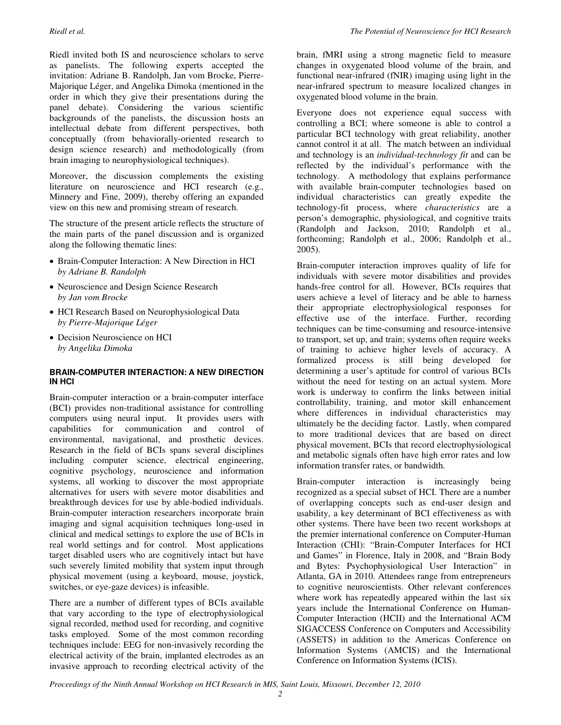Riedl invited both IS and neuroscience scholars to serve as panelists. The following experts accepted the invitation: Adriane B. Randolph, Jan vom Brocke, Pierre-Majorique Léger, and Angelika Dimoka (mentioned in the order in which they give their presentations during the panel debate). Considering the various scientific backgrounds of the panelists, the discussion hosts an intellectual debate from different perspectives, both conceptually (from behaviorally-oriented research to design science research) and methodologically (from brain imaging to neurophysiological techniques).

Moreover, the discussion complements the existing literature on neuroscience and HCI research (e.g., Minnery and Fine, 2009), thereby offering an expanded view on this new and promising stream of research.

The structure of the present article reflects the structure of the main parts of the panel discussion and is organized along the following thematic lines:

- Brain-Computer Interaction: A New Direction in HCI *by Adriane B. Randolph*
- Neuroscience and Design Science Research *by Jan vom Brocke*
- HCI Research Based on Neurophysiological Data *by Pierre-Majorique Léger*
- Decision Neuroscience on HCI *by Angelika Dimoka*

#### **BRAIN-COMPUTER INTERACTION: A NEW DIRECTION IN HCI**

Brain-computer interaction or a brain-computer interface (BCI) provides non-traditional assistance for controlling computers using neural input. It provides users with capabilities for communication and control of environmental, navigational, and prosthetic devices. Research in the field of BCIs spans several disciplines including computer science, electrical engineering, cognitive psychology, neuroscience and information systems, all working to discover the most appropriate alternatives for users with severe motor disabilities and breakthrough devices for use by able-bodied individuals. Brain-computer interaction researchers incorporate brain imaging and signal acquisition techniques long-used in clinical and medical settings to explore the use of BCIs in real world settings and for control. Most applications target disabled users who are cognitively intact but have such severely limited mobility that system input through physical movement (using a keyboard, mouse, joystick, switches, or eye-gaze devices) is infeasible.

There are a number of different types of BCIs available that vary according to the type of electrophysiological signal recorded, method used for recording, and cognitive tasks employed. Some of the most common recording techniques include: EEG for non-invasively recording the electrical activity of the brain, implanted electrodes as an invasive approach to recording electrical activity of the

brain, fMRI using a strong magnetic field to measure changes in oxygenated blood volume of the brain, and functional near-infrared (fNIR) imaging using light in the near-infrared spectrum to measure localized changes in oxygenated blood volume in the brain.

Everyone does not experience equal success with controlling a BCI; where someone is able to control a particular BCI technology with great reliability, another cannot control it at all. The match between an individual and technology is an *individual-technology fit* and can be reflected by the individual's performance with the technology. A methodology that explains performance with available brain-computer technologies based on individual characteristics can greatly expedite the technology-fit process, where *characteristics* are a person's demographic, physiological, and cognitive traits (Randolph and Jackson, 2010; Randolph et al., forthcoming; Randolph et al., 2006; Randolph et al., 2005).

Brain-computer interaction improves quality of life for individuals with severe motor disabilities and provides hands-free control for all. However, BCIs requires that users achieve a level of literacy and be able to harness their appropriate electrophysiological responses for effective use of the interface. Further, recording techniques can be time-consuming and resource-intensive to transport, set up, and train; systems often require weeks of training to achieve higher levels of accuracy. A formalized process is still being developed for determining a user's aptitude for control of various BCIs without the need for testing on an actual system. More work is underway to confirm the links between initial controllability, training, and motor skill enhancement where differences in individual characteristics may ultimately be the deciding factor. Lastly, when compared to more traditional devices that are based on direct physical movement, BCIs that record electrophysiological and metabolic signals often have high error rates and low information transfer rates, or bandwidth.

Brain-computer interaction is increasingly being recognized as a special subset of HCI. There are a number of overlapping concepts such as end-user design and usability, a key determinant of BCI effectiveness as with other systems. There have been two recent workshops at the premier international conference on Computer-Human Interaction (CHI): "Brain-Computer Interfaces for HCI and Games" in Florence, Italy in 2008, and "Brain Body and Bytes: Psychophysiological User Interaction" in Atlanta, GA in 2010. Attendees range from entrepreneurs to cognitive neuroscientists. Other relevant conferences where work has repeatedly appeared within the last six years include the International Conference on Human-Computer Interaction (HCII) and the International ACM SIGACCESS Conference on Computers and Accessibility (ASSETS) in addition to the Americas Conference on Information Systems (AMCIS) and the International Conference on Information Systems (ICIS).

*Proceedings of the Ninth Annual Workshop on HCI Research in MIS, Saint Louis, Missouri, December 12, 2010*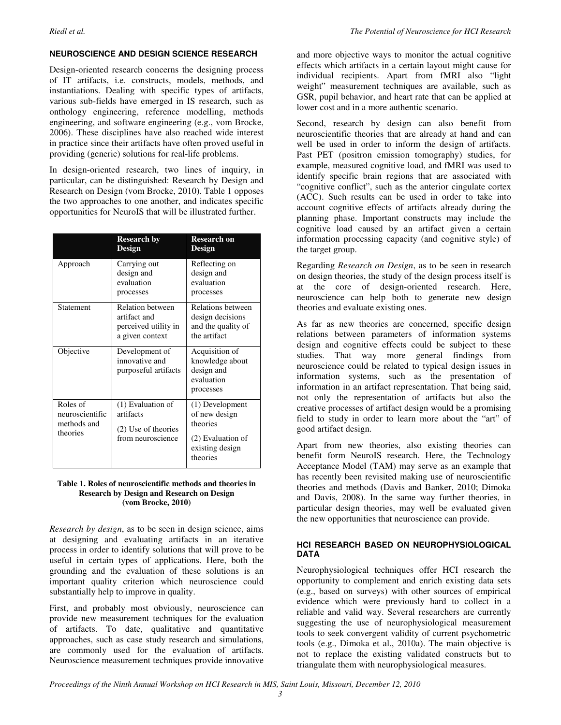#### **NEUROSCIENCE AND DESIGN SCIENCE RESEARCH**

Design-oriented research concerns the designing process of IT artifacts, i.e. constructs, models, methods, and instantiations. Dealing with specific types of artifacts, various sub-fields have emerged in IS research, such as onthology engineering, reference modelling, methods engineering, and software engineering (e.g., vom Brocke, 2006). These disciplines have also reached wide interest in practice since their artifacts have often proved useful in providing (generic) solutions for real-life problems.

In design-oriented research, two lines of inquiry, in particular, can be distinguished: Research by Design and Research on Design (vom Brocke, 2010). Table 1 opposes the two approaches to one another, and indicates specific opportunities for NeuroIS that will be illustrated further.

|                                                        | <b>Research by</b><br><b>Design</b>                                                | <b>Research on</b><br>Design                                                                     |
|--------------------------------------------------------|------------------------------------------------------------------------------------|--------------------------------------------------------------------------------------------------|
| Approach                                               | Carrying out<br>design and<br>evaluation<br>processes                              | Reflecting on<br>design and<br>evaluation<br>processes                                           |
| Statement                                              | <b>Relation between</b><br>artifact and<br>perceived utility in<br>a given context | Relations between<br>design decisions<br>and the quality of<br>the artifact                      |
| Objective                                              | Development of<br>innovative and<br>purposeful artifacts                           | Acquisition of<br>knowledge about<br>design and<br>evaluation<br>processes                       |
| Roles of<br>neuroscientific<br>methods and<br>theories | (1) Evaluation of<br>artifacts<br>(2) Use of theories<br>from neuroscience         | (1) Development<br>of new design<br>theories<br>(2) Evaluation of<br>existing design<br>theories |

#### **Table 1. Roles of neuroscientific methods and theories in Research by Design and Research on Design (vom Brocke, 2010)**

*Research by design*, as to be seen in design science, aims at designing and evaluating artifacts in an iterative process in order to identify solutions that will prove to be useful in certain types of applications. Here, both the grounding and the evaluation of these solutions is an important quality criterion which neuroscience could substantially help to improve in quality.

First, and probably most obviously, neuroscience can provide new measurement techniques for the evaluation of artifacts. To date, qualitative and quantitative approaches, such as case study research and simulations, are commonly used for the evaluation of artifacts. Neuroscience measurement techniques provide innovative and more objective ways to monitor the actual cognitive effects which artifacts in a certain layout might cause for individual recipients. Apart from fMRI also "light weight" measurement techniques are available, such as GSR, pupil behavior, and heart rate that can be applied at lower cost and in a more authentic scenario.

Second, research by design can also benefit from neuroscientific theories that are already at hand and can well be used in order to inform the design of artifacts. Past PET (positron emission tomography) studies, for example, measured cognitive load, and fMRI was used to identify specific brain regions that are associated with "cognitive conflict", such as the anterior cingulate cortex (ACC). Such results can be used in order to take into account cognitive effects of artifacts already during the planning phase. Important constructs may include the cognitive load caused by an artifact given a certain information processing capacity (and cognitive style) of the target group.

Regarding *Research on Design*, as to be seen in research on design theories, the study of the design process itself is at the core of design-oriented research. Here, neuroscience can help both to generate new design theories and evaluate existing ones.

As far as new theories are concerned, specific design relations between parameters of information systems design and cognitive effects could be subject to these studies. That way more general findings from neuroscience could be related to typical design issues in information systems, such as the presentation of information in an artifact representation. That being said, not only the representation of artifacts but also the creative processes of artifact design would be a promising field to study in order to learn more about the "art" of good artifact design.

Apart from new theories, also existing theories can benefit form NeuroIS research. Here, the Technology Acceptance Model (TAM) may serve as an example that has recently been revisited making use of neuroscientific theories and methods (Davis and Banker, 2010; Dimoka and Davis, 2008). In the same way further theories, in particular design theories, may well be evaluated given the new opportunities that neuroscience can provide.

#### **HCI RESEARCH BASED ON NEUROPHYSIOLOGICAL DATA**

Neurophysiological techniques offer HCI research the opportunity to complement and enrich existing data sets (e.g., based on surveys) with other sources of empirical evidence which were previously hard to collect in a reliable and valid way. Several researchers are currently suggesting the use of neurophysiological measurement tools to seek convergent validity of current psychometric tools (e.g., Dimoka et al., 2010a). The main objective is not to replace the existing validated constructs but to triangulate them with neurophysiological measures.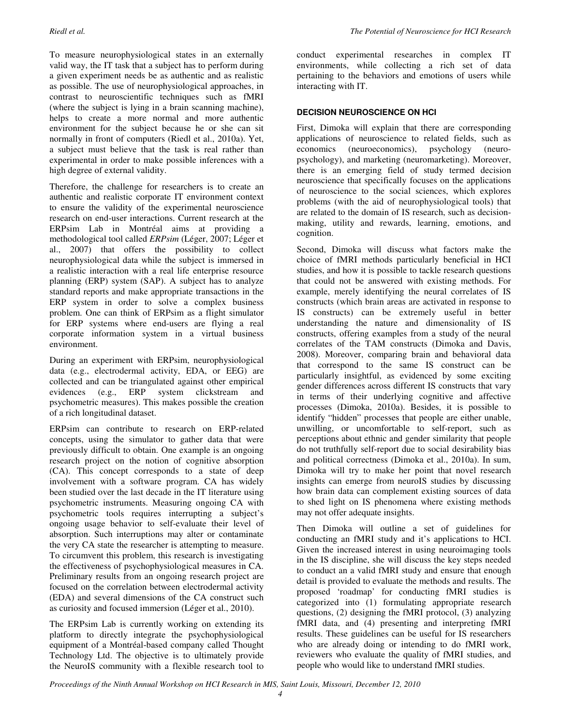To measure neurophysiological states in an externally valid way, the IT task that a subject has to perform during a given experiment needs be as authentic and as realistic as possible. The use of neurophysiological approaches, in contrast to neuroscientific techniques such as fMRI (where the subject is lying in a brain scanning machine), helps to create a more normal and more authentic environment for the subject because he or she can sit normally in front of computers (Riedl et al., 2010a). Yet, a subject must believe that the task is real rather than experimental in order to make possible inferences with a high degree of external validity.

Therefore, the challenge for researchers is to create an authentic and realistic corporate IT environment context to ensure the validity of the experimental neuroscience research on end-user interactions. Current research at the ERPsim Lab in Montréal aims at providing a methodological tool called *ERPsim* (Léger, 2007; Léger et al., 2007) that offers the possibility to collect neurophysiological data while the subject is immersed in a realistic interaction with a real life enterprise resource planning (ERP) system (SAP). A subject has to analyze standard reports and make appropriate transactions in the ERP system in order to solve a complex business problem. One can think of ERPsim as a flight simulator for ERP systems where end-users are flying a real corporate information system in a virtual business environment.

During an experiment with ERPsim, neurophysiological data (e.g., electrodermal activity, EDA, or EEG) are collected and can be triangulated against other empirical<br>evidences (e.g., ERP system clickstream and evidences (e.g., ERP system clickstream and psychometric measures). This makes possible the creation of a rich longitudinal dataset.

ERPsim can contribute to research on ERP-related concepts, using the simulator to gather data that were previously difficult to obtain. One example is an ongoing research project on the notion of cognitive absorption (CA). This concept corresponds to a state of deep involvement with a software program. CA has widely been studied over the last decade in the IT literature using psychometric instruments. Measuring ongoing CA with psychometric tools requires interrupting a subject's ongoing usage behavior to self-evaluate their level of absorption. Such interruptions may alter or contaminate the very CA state the researcher is attempting to measure. To circumvent this problem, this research is investigating the effectiveness of psychophysiological measures in CA. Preliminary results from an ongoing research project are focused on the correlation between electrodermal activity (EDA) and several dimensions of the CA construct such as curiosity and focused immersion (Léger et al., 2010).

The ERPsim Lab is currently working on extending its platform to directly integrate the psychophysiological equipment of a Montréal-based company called Thought Technology Ltd. The objective is to ultimately provide the NeuroIS community with a flexible research tool to conduct experimental researches in complex IT environments, while collecting a rich set of data pertaining to the behaviors and emotions of users while interacting with IT.

#### **DECISION NEUROSCIENCE ON HCI**

First, Dimoka will explain that there are corresponding applications of neuroscience to related fields, such as economics (neuroeconomics), psychology (neuropsychology), and marketing (neuromarketing). Moreover, there is an emerging field of study termed decision neuroscience that specifically focuses on the applications of neuroscience to the social sciences, which explores problems (with the aid of neurophysiological tools) that are related to the domain of IS research, such as decisionmaking, utility and rewards, learning, emotions, and cognition.

Second, Dimoka will discuss what factors make the choice of fMRI methods particularly beneficial in HCI studies, and how it is possible to tackle research questions that could not be answered with existing methods. For example, merely identifying the neural correlates of IS constructs (which brain areas are activated in response to IS constructs) can be extremely useful in better understanding the nature and dimensionality of IS constructs, offering examples from a study of the neural correlates of the TAM constructs (Dimoka and Davis, 2008). Moreover, comparing brain and behavioral data that correspond to the same IS construct can be particularly insightful, as evidenced by some exciting gender differences across different IS constructs that vary in terms of their underlying cognitive and affective processes (Dimoka, 2010a). Besides, it is possible to identify "hidden" processes that people are either unable, unwilling, or uncomfortable to self-report, such as perceptions about ethnic and gender similarity that people do not truthfully self-report due to social desirability bias and political correctness (Dimoka et al., 2010a). In sum, Dimoka will try to make her point that novel research insights can emerge from neuroIS studies by discussing how brain data can complement existing sources of data to shed light on IS phenomena where existing methods may not offer adequate insights.

Then Dimoka will outline a set of guidelines for conducting an fMRI study and it's applications to HCI. Given the increased interest in using neuroimaging tools in the IS discipline, she will discuss the key steps needed to conduct an a valid fMRI study and ensure that enough detail is provided to evaluate the methods and results. The proposed 'roadmap' for conducting fMRI studies is categorized into (1) formulating appropriate research questions, (2) designing the fMRI protocol, (3) analyzing fMRI data, and (4) presenting and interpreting fMRI results. These guidelines can be useful for IS researchers who are already doing or intending to do fMRI work, reviewers who evaluate the quality of fMRI studies, and people who would like to understand fMRI studies.

*Proceedings of the Ninth Annual Workshop on HCI Research in MIS, Saint Louis, Missouri, December 12, 2010*